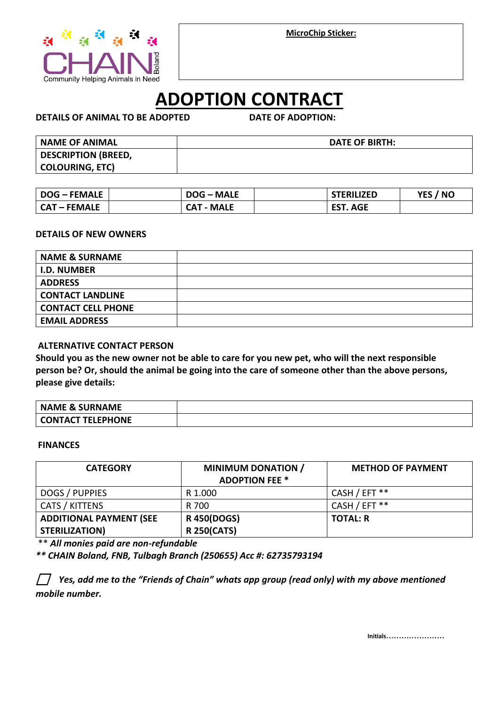**MicroChip Sticker:**



# **ADOPTION CONTRACT**

**DETAILS OF ANIMAL TO BE ADOPTED DATE OF ADOPTION:** 

| <b>NAME OF ANIMAL</b>      | DATE OF BIRTH: |
|----------------------------|----------------|
| <b>DESCRIPTION (BREED,</b> |                |
| <b>COLOURING, ETC)</b>     |                |

| <b>DOG - FEMALE</b> | <b>DOG-MALE</b>   | <b>STERILIZED</b> | YES / NO |
|---------------------|-------------------|-------------------|----------|
| <b>CAT – FEMALE</b> | <b>CAT - MALE</b> | <b>EST. AGE</b>   |          |

#### **DETAILS OF NEW OWNERS**

| <b>NAME &amp; SURNAME</b> |  |
|---------------------------|--|
| <b>I.D. NUMBER</b>        |  |
| <b>ADDRESS</b>            |  |
| <b>CONTACT LANDLINE</b>   |  |
| <b>CONTACT CELL PHONE</b> |  |
| <b>EMAIL ADDRESS</b>      |  |

### **ALTERNATIVE CONTACT PERSON**

**Should you as the new owner not be able to care for you new pet, who will the next responsible person be? Or, should the animal be going into the care of someone other than the above persons, please give details:**

| <b>NAME &amp; SURNAME</b> |  |
|---------------------------|--|
| CONTACT TELEPHONE         |  |

#### **FINANCES**

| <b>CATEGORY</b>                                         | <b>MINIMUM DONATION /</b><br><b>ADOPTION FEE *</b> | <b>METHOD OF PAYMENT</b> |
|---------------------------------------------------------|----------------------------------------------------|--------------------------|
| DOGS / PUPPIES                                          | R 1.000                                            | CASH / EFT **            |
| CATS / KITTENS                                          | R 700                                              | CASH / EFT **            |
| <b>ADDITIONAL PAYMENT (SEE</b><br><b>STERILIZATION)</b> | <b>R 450(DOGS)</b><br><b>R 250(CATS)</b>           | <b>TOTAL: R</b>          |

\*\* *All monies paid are non-refundable* 

*\*\* CHAIN Boland, FNB, Tulbagh Branch (250655) Acc #: 62735793194*

⬜ *Yes, add me to the "Friends of Chain" whats app group (read only) with my above mentioned mobile number.* 

**Initials**.......................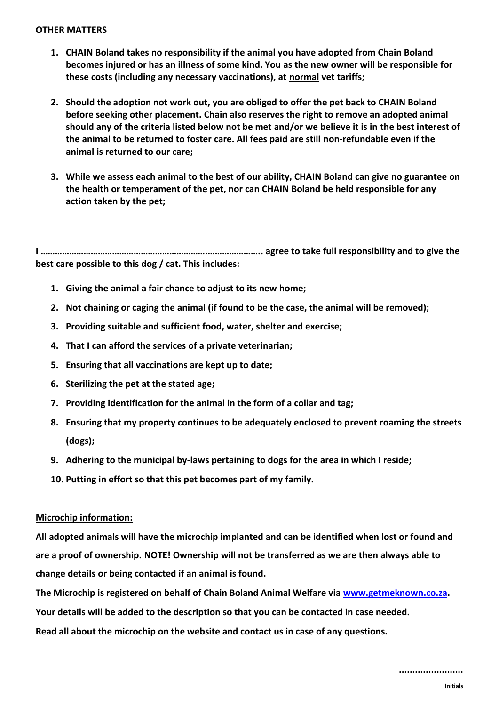#### **OTHER MATTERS**

- **1. CHAIN Boland takes no responsibility if the animal you have adopted from Chain Boland becomes injured or has an illness of some kind. You as the new owner will be responsible for these costs (including any necessary vaccinations), at normal vet tariffs;**
- **2. Should the adoption not work out, you are obliged to offer the pet back to CHAIN Boland before seeking other placement. Chain also reserves the right to remove an adopted animal should any of the criteria listed below not be met and/or we believe it is in the best interest of the animal to be returned to foster care. All fees paid are still non-refundable even if the animal is returned to our care;**
- **3. While we assess each animal to the best of our ability, CHAIN Boland can give no guarantee on the health or temperament of the pet, nor can CHAIN Boland be held responsible for any action taken by the pet;**

**I …………………………………………………………….………………….. agree to take full responsibility and to give the best care possible to this dog / cat. This includes:** 

- **1. Giving the animal a fair chance to adjust to its new home;**
- **2. Not chaining or caging the animal (if found to be the case, the animal will be removed);**
- **3. Providing suitable and sufficient food, water, shelter and exercise;**
- **4. That I can afford the services of a private veterinarian;**
- **5. Ensuring that all vaccinations are kept up to date;**
- **6. Sterilizing the pet at the stated age;**
- **7. Providing identification for the animal in the form of a collar and tag;**
- **8. Ensuring that my property continues to be adequately enclosed to prevent roaming the streets (dogs);**
- **9. Adhering to the municipal by-laws pertaining to dogs for the area in which I reside;**
- **10. Putting in effort so that this pet becomes part of my family.**

#### **Microchip information:**

**All adopted animals will have the microchip implanted and can be identified when lost or found and are a proof of ownership. NOTE! Ownership will not be transferred as we are then always able to change details or being contacted if an animal is found.** 

**The Microchip is registered on behalf of Chain Boland Animal Welfare via [www.getmeknown.co.za.](http://www.getmeknown.co.za/)**

**Your details will be added to the description so that you can be contacted in case needed.** 

**Read all about the microchip on the website and contact us in case of any questions.**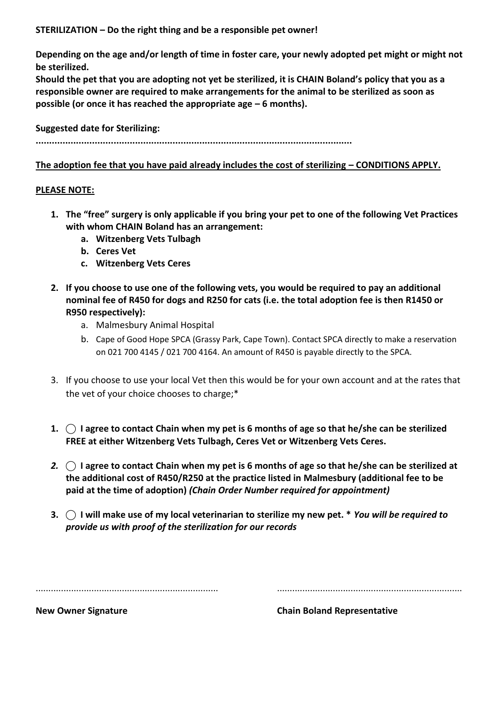**STERILIZATION – Do the right thing and be a responsible pet owner!** 

**Depending on the age and/or length of time in foster care, your newly adopted pet might or might not be sterilized.** 

**Should the pet that you are adopting not yet be sterilized, it is CHAIN Boland's policy that you as a responsible owner are required to make arrangements for the animal to be sterilized as soon as possible (or once it has reached the appropriate age – 6 months).** 

# **Suggested date for Sterilizing:**

**......................................................................................................................** 

# **The adoption fee that you have paid already includes the cost of sterilizing – CONDITIONS APPLY.**

#### **PLEASE NOTE:**

- **1. The "free" surgery is only applicable if you bring your pet to one of the following Vet Practices with whom CHAIN Boland has an arrangement:**
	- **a. Witzenberg Vets Tulbagh**
	- **b. Ceres Vet**
	- **c. Witzenberg Vets Ceres**
- **2. If you choose to use one of the following vets, you would be required to pay an additional nominal fee of R450 for dogs and R250 for cats (i.e. the total adoption fee is then R1450 or R950 respectively):**
	- a. Malmesbury Animal Hospital
	- b. Cape of Good Hope SPCA (Grassy Park, Cape Town). Contact SPCA directly to make a reservation on 021 700 4145 / 021 700 4164. An amount of R450 is payable directly to the SPCA.
- 3. If you choose to use your local Vet then this would be for your own account and at the rates that the vet of your choice chooses to charge;\*
- **1. ⃝ I agree to contact Chain when my pet is 6 months of age so that he/she can be sterilized FREE at either Witzenberg Vets Tulbagh, Ceres Vet or Witzenberg Vets Ceres.**
- *2.* **⃝ I agree to contact Chain when my pet is 6 months of age so that he/she can be sterilized at the additional cost of R450/R250 at the practice listed in Malmesbury (additional fee to be paid at the time of adoption)** *(Chain Order Number required for appointment)*
- **3. ⃝ I will make use of my local veterinarian to sterilize my new pet. \*** *You will be required to provide us with proof of the sterilization for our records*

........................................................................ .........................................................................

**New Owner Signature Chain Boland Representative**